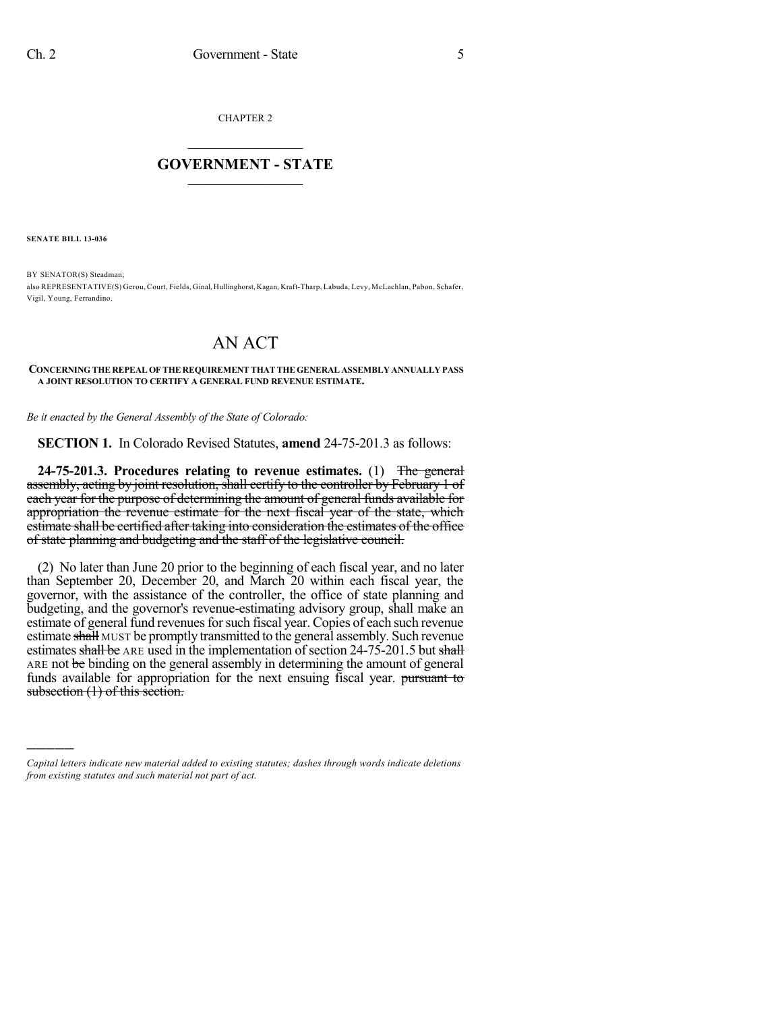CHAPTER 2

## $\mathcal{L}_\text{max}$  . The set of the set of the set of the set of the set of the set of the set of the set of the set of the set of the set of the set of the set of the set of the set of the set of the set of the set of the set **GOVERNMENT - STATE**  $\_$

**SENATE BILL 13-036**

)))))

BY SENATOR(S) Steadman; also REPRESENTATIVE(S) Gerou, Court, Fields, Ginal, Hullinghorst, Kagan, Kraft-Tharp, Labuda, Levy, McLachlan, Pabon, Schafer, Vigil, Young, Ferrandino.

## AN ACT

## **CONCERNING THE REPEAL OF THE REQUIREMENT THAT THE GENERAL ASSEMBLY ANNUALLY PASS A JOINT RESOLUTION TO CERTIFY A GENERAL FUND REVENUE ESTIMATE.**

*Be it enacted by the General Assembly of the State of Colorado:*

**SECTION 1.** In Colorado Revised Statutes, **amend** 24-75-201.3 as follows:

**24-75-201.3. Procedures relating to revenue estimates.** (1) The general assembly, acting by joint resolution, shall certify to the controller by February 1 of each year for the purpose of determining the amount of general funds available for appropriation the revenue estimate for the next fiscal year of the state, which estimate shall be certified after taking into consideration the estimates of the office of state planning and budgeting and the staff of the legislative council.

(2) No later than June 20 prior to the beginning of each fiscal year, and no later than September 20, December 20, and March 20 within each fiscal year, the governor, with the assistance of the controller, the office of state planning and budgeting, and the governor's revenue-estimating advisory group, shall make an estimate of general fund revenues for such fiscal year. Copies of each such revenue estimate shall MUST be promptly transmitted to the general assembly. Such revenue estimates shall be ARE used in the implementation of section  $24-75-201.5$  but shall ARE not be binding on the general assembly in determining the amount of general funds available for appropriation for the next ensuing fiscal year. pursuant to subsection (1) of this section.

*Capital letters indicate new material added to existing statutes; dashes through words indicate deletions from existing statutes and such material not part of act.*